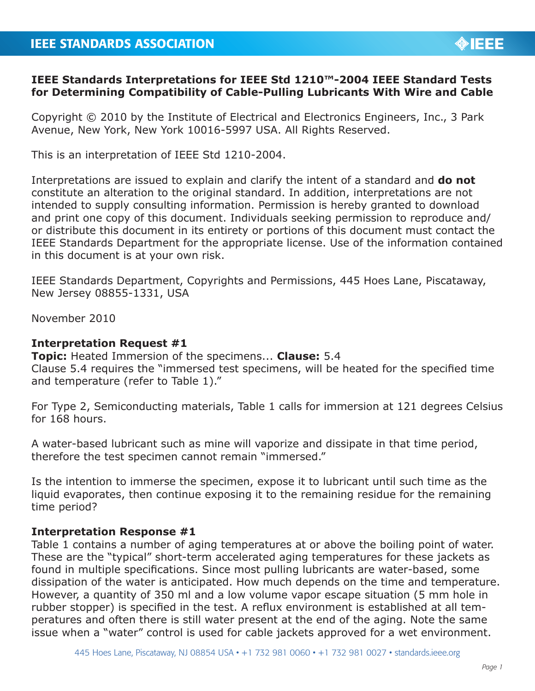## **IEEE Standards Interpretations for IEEE Std 1210™-2004 IEEE Standard Tests for Determining Compatibility of Cable-Pulling Lubricants With Wire and Cable**

Copyright © 2010 by the Institute of Electrical and Electronics Engineers, Inc., 3 Park Avenue, New York, New York 10016-5997 USA. All Rights Reserved.

This is an interpretation of IEEE Std 1210-2004.

Interpretations are issued to explain and clarify the intent of a standard and **do not** constitute an alteration to the original standard. In addition, interpretations are not intended to supply consulting information. Permission is hereby granted to download and print one copy of this document. Individuals seeking permission to reproduce and/ or distribute this document in its entirety or portions of this document must contact the IEEE Standards Department for the appropriate license. Use of the information contained in this document is at your own risk.

IEEE Standards Department, Copyrights and Permissions, 445 Hoes Lane, Piscataway, New Jersey 08855-1331, USA

November 2010

## **Interpretation Request #1**

**Topic:** Heated Immersion of the specimens... **Clause:** 5.4 Clause 5.4 requires the "immersed test specimens, will be heated for the specified time and temperature (refer to Table 1)."

For Type 2, Semiconducting materials, Table 1 calls for immersion at 121 degrees Celsius for 168 hours.

A water-based lubricant such as mine will vaporize and dissipate in that time period, therefore the test specimen cannot remain "immersed."

Is the intention to immerse the specimen, expose it to lubricant until such time as the liquid evaporates, then continue exposing it to the remaining residue for the remaining time period?

# **Interpretation Response #1**

Table 1 contains a number of aging temperatures at or above the boiling point of water. These are the "typical" short-term accelerated aging temperatures for these jackets as found in multiple specifications. Since most pulling lubricants are water-based, some dissipation of the water is anticipated. How much depends on the time and temperature. However, a quantity of 350 ml and a low volume vapor escape situation (5 mm hole in rubber stopper) is specified in the test. A reflux environment is established at all temperatures and often there is still water present at the end of the aging. Note the same issue when a "water" control is used for cable jackets approved for a wet environment.

**OIEEE**